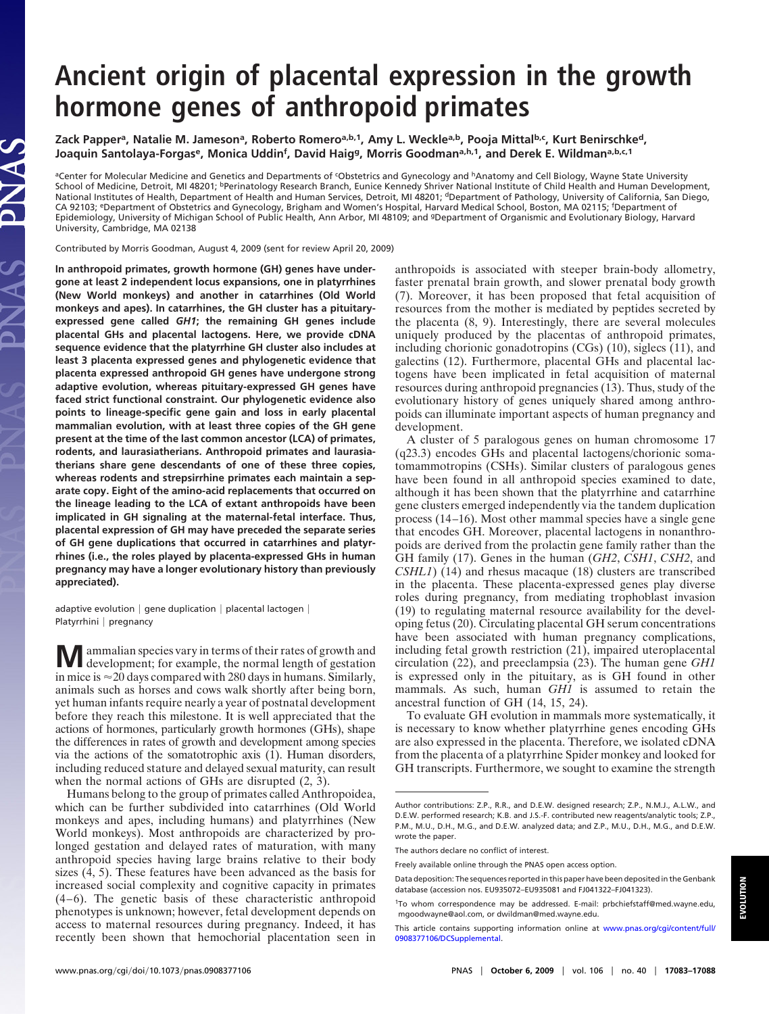## **Ancient origin of placental expression in the growth hormone genes of anthropoid primates**

Zack Papper<sup>a</sup>, Natalie M. Jameson<sup>a</sup>, Roberto Romero<sup>a,b,1</sup>, Amy L. Weckle<sup>a,b</sup>, Pooja Mittal<sup>b,c</sup>, Kurt Benirschke<sup>d</sup>, Joaquin Santolaya-Forgas<sup>e</sup>, Monica Uddin<sup>f</sup>, David Haig<sup>g</sup>, Morris Goodman<sup>a,h,1</sup>, and Derek E. Wildman<sup>a,b,c,1</sup>

aCenter for Molecular Medicine and Genetics and Departments of *Cobstetrics and Gynecology and* hAnatomy and Cell Biology, Wayne State University School of Medicine, Detroit, MI 48201; <sup>b</sup>Perinatology Research Branch, Eunice Kennedy Shriver National Institute of Child Health and Human Development, National Institutes of Health, Department of Health and Human Services, Detroit, MI 48201; <sup>d</sup>Department of Pathology, University of California, San Diego, CA 92103; <sup>e</sup>Department of Obstetrics and Gynecology, Brigham and Women's Hospital, Harvard Medical School, Boston, MA 02115; <sup>f</sup>Department of Epidemiology, University of Michigan School of Public Health, Ann Arbor, MI 48109; and gDepartment of Organismic and Evolutionary Biology, Harvard University, Cambridge, MA 02138

Contributed by Morris Goodman, August 4, 2009 (sent for review April 20, 2009)

JAS

**In anthropoid primates, growth hormone (GH) genes have undergone at least 2 independent locus expansions, one in platyrrhines (New World monkeys) and another in catarrhines (Old World monkeys and apes). In catarrhines, the GH cluster has a pituitaryexpressed gene called** *GH1***; the remaining GH genes include placental GHs and placental lactogens. Here, we provide cDNA sequence evidence that the platyrrhine GH cluster also includes at least 3 placenta expressed genes and phylogenetic evidence that placenta expressed anthropoid GH genes have undergone strong adaptive evolution, whereas pituitary-expressed GH genes have faced strict functional constraint. Our phylogenetic evidence also points to lineage-specific gene gain and loss in early placental mammalian evolution, with at least three copies of the GH gene present at the time of the last common ancestor (LCA) of primates, rodents, and laurasiatherians. Anthropoid primates and laurasiatherians share gene descendants of one of these three copies, whereas rodents and strepsirrhine primates each maintain a separate copy. Eight of the amino-acid replacements that occurred on the lineage leading to the LCA of extant anthropoids have been implicated in GH signaling at the maternal-fetal interface. Thus, placental expression of GH may have preceded the separate series of GH gene duplications that occurred in catarrhines and platyrrhines (i.e., the roles played by placenta-expressed GHs in human pregnancy may have a longer evolutionary history than previously appreciated).**

adaptive evolution  $|$  gene duplication  $|$  placental lactogen  $|$ Platyrrhini | pregnancy

**M** ammalian species vary in terms of their rates of growth and development; for example, the normal length of gestation in mice is  $\approx$  20 days compared with 280 days in humans. Similarly, animals such as horses and cows walk shortly after being born, yet human infants require nearly a year of postnatal development before they reach this milestone. It is well appreciated that the actions of hormones, particularly growth hormones (GHs), shape the differences in rates of growth and development among species via the actions of the somatotrophic axis (1). Human disorders, including reduced stature and delayed sexual maturity, can result when the normal actions of GHs are disrupted (2, 3).

Humans belong to the group of primates called Anthropoidea, which can be further subdivided into catarrhines (Old World monkeys and apes, including humans) and platyrrhines (New World monkeys). Most anthropoids are characterized by prolonged gestation and delayed rates of maturation, with many anthropoid species having large brains relative to their body sizes (4, 5). These features have been advanced as the basis for increased social complexity and cognitive capacity in primates (4–6). The genetic basis of these characteristic anthropoid phenotypes is unknown; however, fetal development depends on access to maternal resources during pregnancy. Indeed, it has recently been shown that hemochorial placentation seen in

anthropoids is associated with steeper brain-body allometry, faster prenatal brain growth, and slower prenatal body growth (7). Moreover, it has been proposed that fetal acquisition of resources from the mother is mediated by peptides secreted by the placenta (8, 9). Interestingly, there are several molecules uniquely produced by the placentas of anthropoid primates, including chorionic gonadotropins (CGs) (10), siglecs (11), and galectins (12). Furthermore, placental GHs and placental lactogens have been implicated in fetal acquisition of maternal resources during anthropoid pregnancies (13). Thus, study of the evolutionary history of genes uniquely shared among anthropoids can illuminate important aspects of human pregnancy and development.

A cluster of 5 paralogous genes on human chromosome 17 (q23.3) encodes GHs and placental lactogens/chorionic somatomammotropins (CSHs). Similar clusters of paralogous genes have been found in all anthropoid species examined to date, although it has been shown that the platyrrhine and catarrhine gene clusters emerged independently via the tandem duplication process (14–16). Most other mammal species have a single gene that encodes GH. Moreover, placental lactogens in nonanthropoids are derived from the prolactin gene family rather than the GH family (17). Genes in the human (*GH2*, *CSH1*, *CSH2*, and *CSHL1*) (14) and rhesus macaque (18) clusters are transcribed in the placenta. These placenta-expressed genes play diverse roles during pregnancy, from mediating trophoblast invasion (19) to regulating maternal resource availability for the developing fetus (20). Circulating placental GH serum concentrations have been associated with human pregnancy complications, including fetal growth restriction (21), impaired uteroplacental circulation (22), and preeclampsia (23). The human gene *GH1* is expressed only in the pituitary, as is GH found in other mammals. As such, human *GH1* is assumed to retain the ancestral function of GH (14, 15, 24).

To evaluate GH evolution in mammals more systematically, it is necessary to know whether platyrrhine genes encoding GHs are also expressed in the placenta. Therefore, we isolated cDNA from the placenta of a platyrrhine Spider monkey and looked for GH transcripts. Furthermore, we sought to examine the strength

**EVOLUTION**

Author contributions: Z.P., R.R., and D.E.W. designed research; Z.P., N.M.J., A.L.W., and D.E.W. performed research; K.B. and J.S.-F. contributed new reagents/analytic tools; Z.P., P.M., M.U., D.H., M.G., and D.E.W. analyzed data; and Z.P., M.U., D.H., M.G., and D.E.W. wrote the paper.

The authors declare no conflict of interest.

Freely available online through the PNAS open access option.

Data deposition: The sequences reported in this paper have been deposited in the Genbank database (accession nos. EU935072–EU935081 and FJ041322–FJ041323).

<sup>1</sup>To whom correspondence may be addressed. E-mail: prbchiefstaff@med.wayne.edu, mgoodwayne@aol.com, or dwildman@med.wayne.edu.

This article contains supporting information online at [www.pnas.org/cgi/content/full/](http://www.pnas.org/cgi/content/full/0908377106/DCSupplemental) [0908377106/DCSupplemental.](http://www.pnas.org/cgi/content/full/0908377106/DCSupplemental)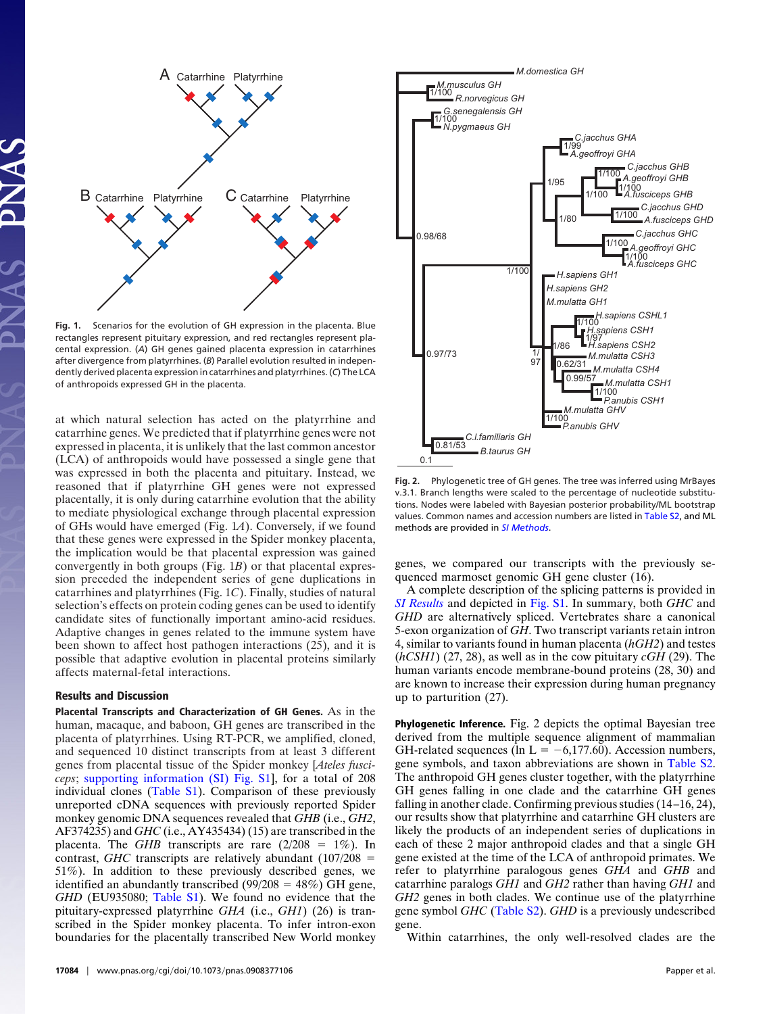

**Fig. 1.** Scenarios for the evolution of GH expression in the placenta. Blue rectangles represent pituitary expression, and red rectangles represent placental expression. (*A*) GH genes gained placenta expression in catarrhines after divergence from platyrrhines. (*B*) Parallel evolution resulted in independently derived placenta expression in catarrhines and platyrrhines. (*C*) The LCA of anthropoids expressed GH in the placenta.

at which natural selection has acted on the platyrrhine and catarrhine genes. We predicted that if platyrrhine genes were not expressed in placenta, it is unlikely that the last common ancestor (LCA) of anthropoids would have possessed a single gene that was expressed in both the placenta and pituitary. Instead, we reasoned that if platyrrhine GH genes were not expressed placentally, it is only during catarrhine evolution that the ability to mediate physiological exchange through placental expression of GHs would have emerged (Fig. 1*A*). Conversely, if we found that these genes were expressed in the Spider monkey placenta, the implication would be that placental expression was gained convergently in both groups (Fig. 1*B*) or that placental expression preceded the independent series of gene duplications in catarrhines and platyrrhines (Fig. 1*C*). Finally, studies of natural selection's effects on protein coding genes can be used to identify candidate sites of functionally important amino-acid residues. Adaptive changes in genes related to the immune system have been shown to affect host pathogen interactions (25), and it is possible that adaptive evolution in placental proteins similarly affects maternal-fetal interactions.

## **Results and Discussion**

**Placental Transcripts and Characterization of GH Genes.** As in the human, macaque, and baboon, GH genes are transcribed in the placenta of platyrrhines. Using RT-PCR, we amplified, cloned, and sequenced 10 distinct transcripts from at least 3 different genes from placental tissue of the Spider monkey [*Ateles fusciceps*; [supporting information \(SI\) Fig. S1\]](http://www.pnas.org/cgi/data/0908377106/DCSupplemental/Supplemental_PDF#nameddest=SF1), for a total of 208 individual clones [\(Table S1\)](http://www.pnas.org/cgi/data/0908377106/DCSupplemental/Supplemental_PDF#nameddest=ST1). Comparison of these previously unreported cDNA sequences with previously reported Spider monkey genomic DNA sequences revealed that *GHB* (i.e., *GH2*, AF374235) and *GHC* (i.e., AY435434) (15) are transcribed in the placenta. The *GHB* transcripts are rare  $(2/208 = 1\%)$ . In contrast, *GHC* transcripts are relatively abundant  $(107/208 =$ 51%). In addition to these previously described genes, we identified an abundantly transcribed  $(99/208 = 48%)$  GH gene, *GHD* (EU935080; [Table S1\)](http://www.pnas.org/cgi/data/0908377106/DCSupplemental/Supplemental_PDF#nameddest=ST1). We found no evidence that the pituitary-expressed platyrrhine *GHA* (i.e., *GH1*) (26) is transcribed in the Spider monkey placenta. To infer intron-exon boundaries for the placentally transcribed New World monkey



**Fig. 2.** Phylogenetic tree of GH genes. The tree was inferred using MrBayes v.3.1. Branch lengths were scaled to the percentage of nucleotide substitutions. Nodes were labeled with Bayesian posterior probability/ML bootstrap values. Common names and accession numbers are listed in [Table S2,](http://www.pnas.org/cgi/data/0908377106/DCSupplemental/Supplemental_PDF#nameddest=ST2) and ML methods are provided in *[SI Methods](http://www.pnas.org/cgi/data/0908377106/DCSupplemental/Supplemental_PDF#nameddest=STXT)*.

genes, we compared our transcripts with the previously sequenced marmoset genomic GH gene cluster (16).

A complete description of the splicing patterns is provided in *[SI Results](http://www.pnas.org/cgi/data/0908377106/DCSupplemental/Supplemental_PDF#nameddest=STXT)* and depicted in [Fig. S1.](http://www.pnas.org/cgi/data/0908377106/DCSupplemental/Supplemental_PDF#nameddest=SF1) In summary, both *GHC* and *GHD* are alternatively spliced. Vertebrates share a canonical 5-exon organization of *GH*. Two transcript variants retain intron 4, similar to variants found in human placenta (*hGH2*) and testes (*hCSH1*) (27, 28), as well as in the cow pituitary *cGH* (29). The human variants encode membrane-bound proteins (28, 30) and are known to increase their expression during human pregnancy up to parturition (27).

**Phylogenetic Inference.** Fig. 2 depicts the optimal Bayesian tree derived from the multiple sequence alignment of mammalian GH-related sequences (ln  $L = -6,177.60$ ). Accession numbers, gene symbols, and taxon abbreviations are shown in [Table S2.](http://www.pnas.org/cgi/data/0908377106/DCSupplemental/Supplemental_PDF#nameddest=ST2) The anthropoid GH genes cluster together, with the platyrrhine GH genes falling in one clade and the catarrhine GH genes falling in another clade. Confirming previous studies (14–16, 24), our results show that platyrrhine and catarrhine GH clusters are likely the products of an independent series of duplications in each of these 2 major anthropoid clades and that a single GH gene existed at the time of the LCA of anthropoid primates. We refer to platyrrhine paralogous genes *GHA* and *GHB* and catarrhine paralogs *GH1* and *GH2* rather than having *GH1* and *GH2* genes in both clades. We continue use of the platyrrhine gene symbol *GHC* [\(Table S2\)](http://www.pnas.org/cgi/data/0908377106/DCSupplemental/Supplemental_PDF#nameddest=ST2). *GHD* is a previously undescribed gene.

Within catarrhines, the only well-resolved clades are the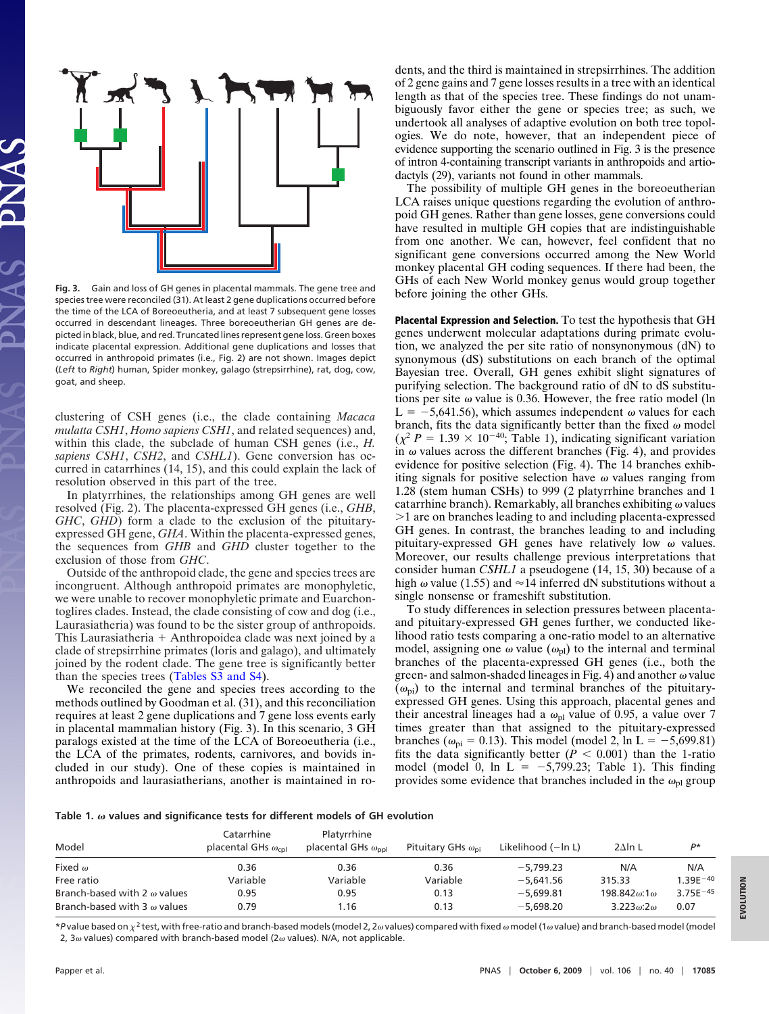

**Fig. 3.** Gain and loss of GH genes in placental mammals. The gene tree and species tree were reconciled (31). At least 2 gene duplications occurred before the time of the LCA of Boreoeutheria, and at least 7 subsequent gene losses occurred in descendant lineages. Three boreoeutherian GH genes are depicted in black, blue, and red. Truncated lines represent gene loss. Green boxes indicate placental expression. Additional gene duplications and losses that occurred in anthropoid primates (i.e., Fig. 2) are not shown. Images depict (*Left* to *Right*) human, Spider monkey, galago (strepsirrhine), rat, dog, cow, goat, and sheep.

clustering of CSH genes (i.e., the clade containing *Macaca mulatta CSH1*, *Homo sapiens CSH1*, and related sequences) and, within this clade, the subclade of human CSH genes (i.e., *H. sapiens CSH1*, *CSH2*, and *CSHL1*). Gene conversion has occurred in catarrhines (14, 15), and this could explain the lack of resolution observed in this part of the tree.

In platyrrhines, the relationships among GH genes are well resolved (Fig. 2). The placenta-expressed GH genes (i.e., *GHB*, *GHC*, *GHD*) form a clade to the exclusion of the pituitaryexpressed GH gene, *GHA*. Within the placenta-expressed genes, the sequences from *GHB* and *GHD* cluster together to the exclusion of those from *GHC*.

Outside of the anthropoid clade, the gene and species trees are incongruent. Although anthropoid primates are monophyletic, we were unable to recover monophyletic primate and Euarchontoglires clades. Instead, the clade consisting of cow and dog (i.e., Laurasiatheria) was found to be the sister group of anthropoids. This Laurasiatheria  $+$  Anthropoidea clade was next joined by a clade of strepsirrhine primates (loris and galago), and ultimately joined by the rodent clade. The gene tree is significantly better than the species trees [\(Tables S3 and S4\)](http://www.pnas.org/cgi/data/0908377106/DCSupplemental/Supplemental_PDF#nameddest=ST3).

We reconciled the gene and species trees according to the methods outlined by Goodman et al. (31), and this reconciliation requires at least 2 gene duplications and 7 gene loss events early in placental mammalian history (Fig. 3). In this scenario, 3 GH paralogs existed at the time of the LCA of Boreoeutheria (i.e., the LCA of the primates, rodents, carnivores, and bovids included in our study). One of these copies is maintained in anthropoids and laurasiatherians, another is maintained in rodents, and the third is maintained in strepsirrhines. The addition of 2 gene gains and 7 gene losses results in a tree with an identical length as that of the species tree. These findings do not unambiguously favor either the gene or species tree; as such, we undertook all analyses of adaptive evolution on both tree topologies. We do note, however, that an independent piece of evidence supporting the scenario outlined in Fig. 3 is the presence of intron 4-containing transcript variants in anthropoids and artiodactyls (29), variants not found in other mammals.

The possibility of multiple GH genes in the boreoeutherian LCA raises unique questions regarding the evolution of anthropoid GH genes. Rather than gene losses, gene conversions could have resulted in multiple GH copies that are indistinguishable from one another. We can, however, feel confident that no significant gene conversions occurred among the New World monkey placental GH coding sequences. If there had been, the GHs of each New World monkey genus would group together before joining the other GHs.

**Placental Expression and Selection.** To test the hypothesis that GH genes underwent molecular adaptations during primate evolution, we analyzed the per site ratio of nonsynonymous (dN) to synonymous (dS) substitutions on each branch of the optimal Bayesian tree. Overall, GH genes exhibit slight signatures of purifying selection. The background ratio of dN to dS substitutions per site  $\omega$  value is 0.36. However, the free ratio model (ln  $L = -5,641.56$ , which assumes independent  $\omega$  values for each branch, fits the data significantly better than the fixed  $\omega$  model  $(\chi^2 P = 1.39 \times 10^{-40}$ ; Table 1), indicating significant variation in  $\omega$  values across the different branches (Fig. 4), and provides evidence for positive selection (Fig. 4). The 14 branches exhibiting signals for positive selection have  $\omega$  values ranging from 1.28 (stem human CSHs) to 999 (2 platyrrhine branches and 1 catarrhine branch). Remarkably, all branches exhibiting  $\omega$  values 1 are on branches leading to and including placenta-expressed GH genes. In contrast, the branches leading to and including pituitary-expressed GH genes have relatively low  $\omega$  values. Moreover, our results challenge previous interpretations that consider human *CSHL1* a pseudogene (14, 15, 30) because of a high  $\omega$  value (1.55) and  $\approx$  14 inferred dN substitutions without a single nonsense or frameshift substitution.

To study differences in selection pressures between placentaand pituitary-expressed GH genes further, we conducted likelihood ratio tests comparing a one-ratio model to an alternative model, assigning one  $\omega$  value ( $\omega_{\text{pl}}$ ) to the internal and terminal branches of the placenta-expressed GH genes (i.e., both the green- and salmon-shaded lineages in Fig. 4) and another  $\omega$  value  $(\omega_{pi})$  to the internal and terminal branches of the pituitaryexpressed GH genes. Using this approach, placental genes and their ancestral lineages had a  $\omega_{\text{pl}}$  value of 0.95, a value over 7 times greater than that assigned to the pituitary-expressed branches ( $\omega_{pi} = 0.13$ ). This model (model 2, ln L = -5,699.81) fits the data significantly better  $(P < 0.001)$  than the 1-ratio model (model 0,  $\ln L = -5,799.23$ ; Table 1). This finding provides some evidence that branches included in the  $\omega_{\text{pl}}$  group

**Table 1. values and significance tests for different models of GH evolution**

| Model                               | Catarrhine<br>placental GHs $\omega_{\text{col}}$ | Platyrrhine<br>placental GHs $\omega_{\rm{bol}}$ | Pituitary GHs $\omega_{\rm ni}$ | Likelihood $(-ln L)$ | $2\Delta$ ln L               | P*            |
|-------------------------------------|---------------------------------------------------|--------------------------------------------------|---------------------------------|----------------------|------------------------------|---------------|
| Fixed $\omega$                      | 0.36                                              | 0.36                                             | 0.36                            | $-5.799.23$          | N/A                          | N/A           |
| Free ratio                          | Variable                                          | Variable                                         | Variable                        | $-5.641.56$          | 315.33                       | $1.39E^{-40}$ |
| Branch-based with 2 $\omega$ values | 0.95                                              | 0.95                                             | 0.13                            | $-5.699.81$          | 198.842 $\omega$ :1 $\omega$ | $3.75E^{-45}$ |
| Branch-based with 3 $\omega$ values | 0.79                                              | 1.16                                             | 0.13                            | $-5.698.20$          | $3.223\omega:2\omega$        | 0.07          |

\**P* value based on  $\chi^2$  test, with free-ratio and branch-based models (model 2, 2 walues) compared with fixed w model (1 w value) and branch-based model (model 2, 3 $\omega$  values) compared with branch-based model (2 $\omega$  values). N/A, not applicable.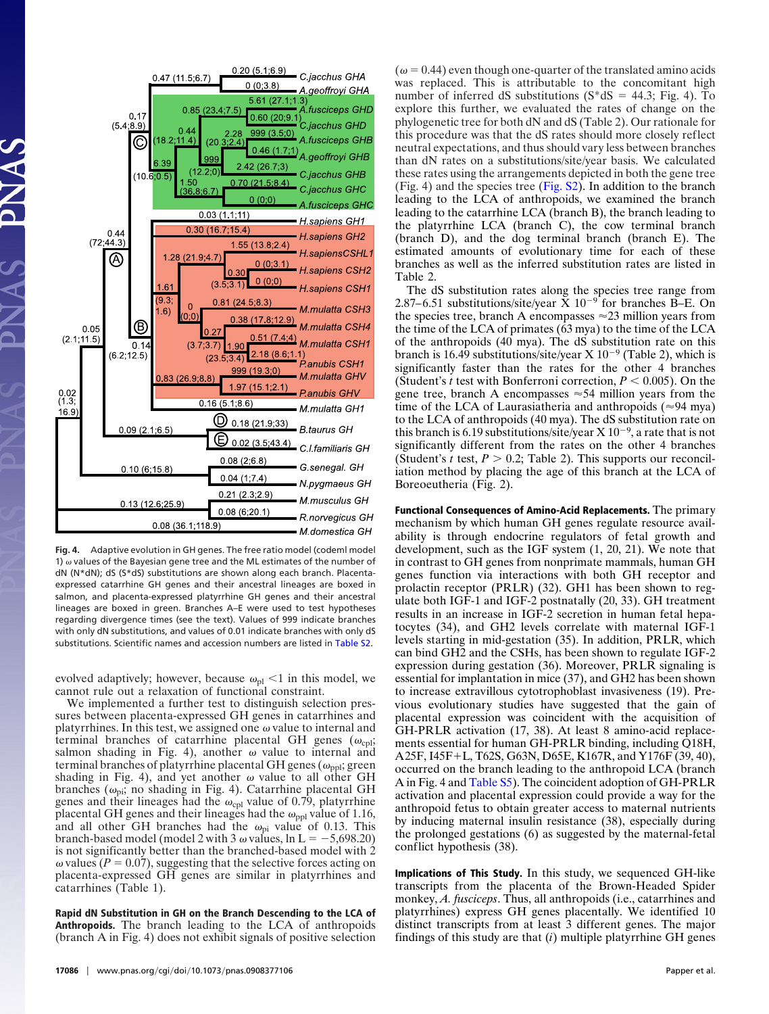

**Fig. 4.** Adaptive evolution in GH genes. The free ratio model (codeml model 1)  $\omega$  values of the Bayesian gene tree and the ML estimates of the number of dN (N\*dN); dS (S\*dS) substitutions are shown along each branch. Placentaexpressed catarrhine GH genes and their ancestral lineages are boxed in salmon, and placenta-expressed platyrrhine GH genes and their ancestral lineages are boxed in green. Branches A–E were used to test hypotheses regarding divergence times (see the text). Values of 999 indicate branches with only dN substitutions, and values of 0.01 indicate branches with only dS substitutions. Scientific names and accession numbers are listed in [Table S2.](http://www.pnas.org/cgi/data/0908377106/DCSupplemental/Supplemental_PDF#nameddest=ST2)

evolved adaptively; however, because  $\omega_{\rm pl}$  < 1 in this model, we cannot rule out a relaxation of functional constraint.

We implemented a further test to distinguish selection pressures between placenta-expressed GH genes in catarrhines and platyrrhines. In this test, we assigned one  $\omega$  value to internal and terminal branches of catarrhine placental GH genes  $(\omega_{\text{cpl}};$ salmon shading in Fig. 4), another  $\omega$  value to internal and terminal branches of platyrrhine placental GH genes ( $\omega_{\text{ppl}}$ ; green shading in Fig. 4), and yet another  $\omega$  value to all other GH branches ( $\omega_{\rm pi}$ ; no shading in Fig. 4). Catarrhine placental GH genes and their lineages had the  $\omega_{\rm cpl}$  value of 0.79, platyrrhine placental GH genes and their lineages had the  $\omega_{\text{ppl}}$  value of 1.16, and all other GH branches had the  $\omega_{pi}$  value of 0.13. This branch-based model (model 2 with 3  $\omega$  values, ln L =  $-5,698.20$ ) is not significantly better than the branched-based model with 2  $\omega$  values ( $P = 0.07$ ), suggesting that the selective forces acting on placenta-expressed GH genes are similar in platyrrhines and catarrhines (Table 1).

**Rapid dN Substitution in GH on the Branch Descending to the LCA of Anthropoids.** The branch leading to the LCA of anthropoids (branch A in Fig. 4) does not exhibit signals of positive selection

 $(\omega = 0.44)$  even though one-quarter of the translated amino acids was replaced. This is attributable to the concomitant high number of inferred dS substitutions  $(S^*dS = 44.3; Fig. 4)$ . To explore this further, we evaluated the rates of change on the phylogenetic tree for both dN and dS (Table 2). Our rationale for this procedure was that the dS rates should more closely reflect neutral expectations, and thus should vary less between branches than dN rates on a substitutions/site/year basis. We calculated these rates using the arrangements depicted in both the gene tree (Fig. 4) and the species tree [\(Fig. S2\)](http://www.pnas.org/cgi/data/0908377106/DCSupplemental/Supplemental_PDF#nameddest=SF2). In addition to the branch leading to the LCA of anthropoids, we examined the branch leading to the catarrhine LCA (branch B), the branch leading to the platyrrhine LCA (branch C), the cow terminal branch (branch D), and the dog terminal branch (branch E). The estimated amounts of evolutionary time for each of these branches as well as the inferred substitution rates are listed in Table 2.

The dS substitution rates along the species tree range from 2.87–6.51 substitutions/site/year  $\bar{X}$  10<sup>-9</sup> for branches B–E. On the species tree, branch A encompasses  $\approx$  23 million years from the time of the LCA of primates (63 mya) to the time of the LCA of the anthropoids (40 mya). The dS substitution rate on this branch is 16.49 substitutions/site/year  $X$  10<sup>-9</sup> (Table 2), which is significantly faster than the rates for the other 4 branches (Student's *t* test with Bonferroni correction,  $P < 0.005$ ). On the gene tree, branch A encompasses  $\approx 54$  million years from the time of the LCA of Laurasiatheria and anthropoids ( $\approx$ 94 mya) to the LCA of anthropoids (40 mya). The dS substitution rate on this branch is 6.19 substitutions/site/year  $X 10^{-9}$ , a rate that is not significantly different from the rates on the other 4 branches (Student's *t* test,  $P > 0.2$ ; Table 2). This supports our reconciliation method by placing the age of this branch at the LCA of Boreoeutheria (Fig. 2).

**Functional Consequences of Amino-Acid Replacements.** The primary mechanism by which human GH genes regulate resource availability is through endocrine regulators of fetal growth and development, such as the IGF system (1, 20, 21). We note that in contrast to GH genes from nonprimate mammals, human GH genes function via interactions with both GH receptor and prolactin receptor (PRLR) (32). GH1 has been shown to regulate both IGF-1 and IGF-2 postnatally (20, 33). GH treatment results in an increase in IGF-2 secretion in human fetal hepatocytes (34), and GH2 levels correlate with maternal IGF-1 levels starting in mid-gestation (35). In addition, PRLR, which can bind GH2 and the CSHs, has been shown to regulate IGF-2 expression during gestation (36). Moreover, PRLR signaling is essential for implantation in mice (37), and GH2 has been shown to increase extravillous cytotrophoblast invasiveness (19). Previous evolutionary studies have suggested that the gain of placental expression was coincident with the acquisition of GH-PRLR activation (17, 38). At least 8 amino-acid replacements essential for human GH-PRLR binding, including Q18H, A25F, I45F+L, T62S, G63N, D65E, K167R, and Y176F (39, 40), occurred on the branch leading to the anthropoid LCA (branch A in Fig. 4 and [Table S5\)](http://www.pnas.org/cgi/data/0908377106/DCSupplemental/Supplemental_PDF#nameddest=ST5). The coincident adoption of GH-PRLR activation and placental expression could provide a way for the anthropoid fetus to obtain greater access to maternal nutrients by inducing maternal insulin resistance (38), especially during the prolonged gestations (6) as suggested by the maternal-fetal conflict hypothesis (38).

**Implications of This Study.** In this study, we sequenced GH-like transcripts from the placenta of the Brown-Headed Spider monkey, *A. fusciceps*. Thus, all anthropoids (i.e., catarrhines and platyrrhines) express GH genes placentally. We identified 10 distinct transcripts from at least 3 different genes. The major findings of this study are that (*i*) multiple platyrrhine GH genes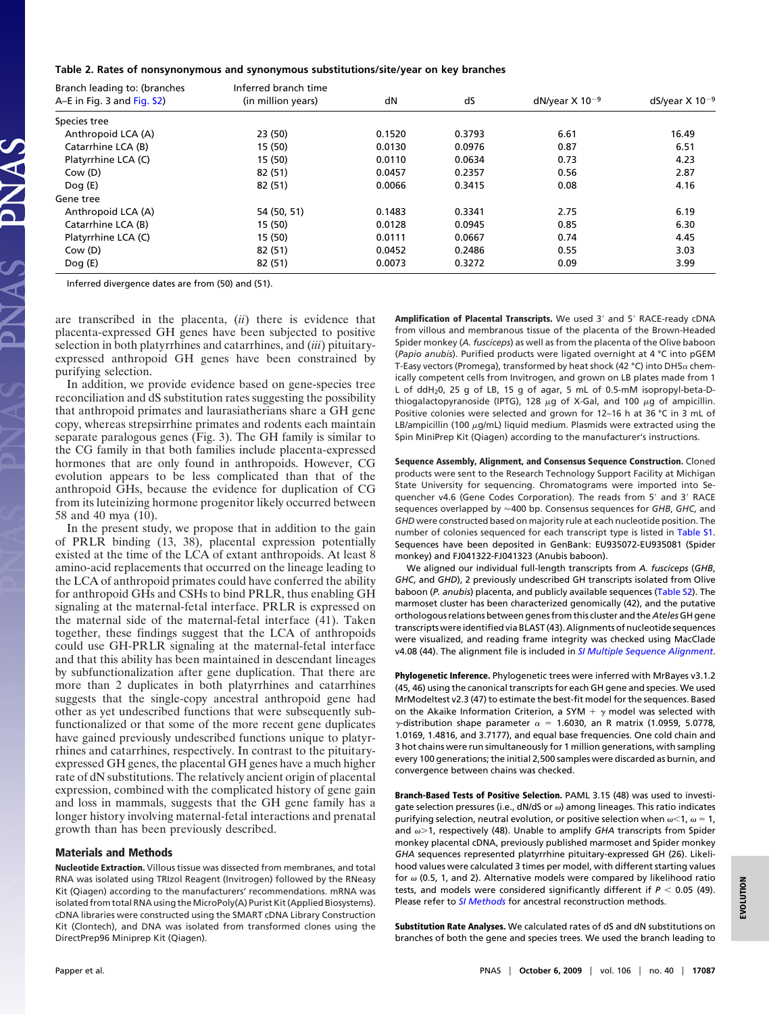## **Table 2. Rates of nonsynonymous and synonymous substitutions/site/year on key branches**

| Branch leading to: (branches<br>A-E in Fig. 3 and Fig. S2) | Inferred branch time<br>(in million years) | dN     | dS     | dN/year $X$ 10 <sup>-9</sup> | dS/year $X$ 10 <sup>-9</sup> |  |
|------------------------------------------------------------|--------------------------------------------|--------|--------|------------------------------|------------------------------|--|
|                                                            |                                            |        |        |                              |                              |  |
| Species tree                                               |                                            |        |        |                              |                              |  |
| Anthropoid LCA (A)                                         | 23 (50)                                    | 0.1520 | 0.3793 | 6.61                         | 16.49                        |  |
| Catarrhine LCA (B)                                         | 15 (50)                                    | 0.0130 | 0.0976 | 0.87                         | 6.51                         |  |
| Platyrrhine LCA (C)                                        | 15 (50)                                    | 0.0110 | 0.0634 | 0.73                         | 4.23                         |  |
| Cow (D)                                                    | 82 (51)                                    | 0.0457 | 0.2357 | 0.56                         | 2.87                         |  |
| Doq(E)                                                     | 82 (51)                                    | 0.0066 | 0.3415 | 0.08                         | 4.16                         |  |
| Gene tree                                                  |                                            |        |        |                              |                              |  |
| Anthropoid LCA (A)                                         | 54 (50, 51)                                | 0.1483 | 0.3341 | 2.75                         | 6.19                         |  |
| Catarrhine LCA (B)                                         | 15 (50)                                    | 0.0128 | 0.0945 | 0.85                         | 6.30                         |  |
| Platyrrhine LCA (C)                                        | 15 (50)                                    | 0.0111 | 0.0667 | 0.74                         | 4.45                         |  |
| Cow (D)                                                    | 82 (51)                                    | 0.0452 | 0.2486 | 0.55                         | 3.03                         |  |
| Doq(E)                                                     | 82 (51)                                    | 0.0073 | 0.3272 | 0.09                         | 3.99                         |  |

Inferred divergence dates are from (50) and (51).

are transcribed in the placenta, (*ii*) there is evidence that placenta-expressed GH genes have been subjected to positive selection in both platyrrhines and catarrhines, and (*iii*) pituitaryexpressed anthropoid GH genes have been constrained by purifying selection.

In addition, we provide evidence based on gene-species tree reconciliation and dS substitution rates suggesting the possibility that anthropoid primates and laurasiatherians share a GH gene copy, whereas strepsirrhine primates and rodents each maintain separate paralogous genes (Fig. 3). The GH family is similar to the CG family in that both families include placenta-expressed hormones that are only found in anthropoids. However, CG evolution appears to be less complicated than that of the anthropoid GHs, because the evidence for duplication of CG from its luteinizing hormone progenitor likely occurred between 58 and 40 mya (10).

In the present study, we propose that in addition to the gain of PRLR binding (13, 38), placental expression potentially existed at the time of the LCA of extant anthropoids. At least 8 amino-acid replacements that occurred on the lineage leading to the LCA of anthropoid primates could have conferred the ability for anthropoid GHs and CSHs to bind PRLR, thus enabling GH signaling at the maternal-fetal interface. PRLR is expressed on the maternal side of the maternal-fetal interface (41). Taken together, these findings suggest that the LCA of anthropoids could use GH-PRLR signaling at the maternal-fetal interface and that this ability has been maintained in descendant lineages by subfunctionalization after gene duplication. That there are more than 2 duplicates in both platyrrhines and catarrhines suggests that the single-copy ancestral anthropoid gene had other as yet undescribed functions that were subsequently subfunctionalized or that some of the more recent gene duplicates have gained previously undescribed functions unique to platyrrhines and catarrhines, respectively. In contrast to the pituitaryexpressed GH genes, the placental GH genes have a much higher rate of dN substitutions. The relatively ancient origin of placental expression, combined with the complicated history of gene gain and loss in mammals, suggests that the GH gene family has a longer history involving maternal-fetal interactions and prenatal growth than has been previously described.

## **Materials and Methods**

**Nucleotide Extraction.** Villous tissue was dissected from membranes, and total RNA was isolated using TRIzol Reagent (Invitrogen) followed by the RNeasy Kit (Qiagen) according to the manufacturers' recommendations. mRNA was isolated from total RNA using the MicroPoly(A) Purist Kit (Applied Biosystems). cDNA libraries were constructed using the SMART cDNA Library Construction Kit (Clontech), and DNA was isolated from transformed clones using the DirectPrep96 Miniprep Kit (Qiagen).

**Amplification of Placental Transcripts.** We used 3' and 5' RACE-ready cDNA from villous and membranous tissue of the placenta of the Brown-Headed Spider monkey (*A. fusciceps*) as well as from the placenta of the Olive baboon (*Papio anubis*). Purified products were ligated overnight at 4 °C into pGEM T-Easy vectors (Promega), transformed by heat shock (42 °C) into DH5 $\alpha$  chemically competent cells from Invitrogen, and grown on LB plates made from 1 L of ddH20, 25 g of LB, 15 g of agar, 5 mL of 0.5-mM isopropyl-beta-Dthiogalactopyranoside (IPTG), 128  $\mu$ g of X-Gal, and 100  $\mu$ g of ampicillin. Positive colonies were selected and grown for 12–16 h at 36 °C in 3 mL of LB/ampicillin (100  $\mu$ g/mL) liquid medium. Plasmids were extracted using the Spin MiniPrep Kit (Qiagen) according to the manufacturer's instructions.

**Sequence Assembly, Alignment, and Consensus Sequence Construction.** Cloned products were sent to the Research Technology Support Facility at Michigan State University for sequencing. Chromatograms were imported into Sequencher v4.6 (Gene Codes Corporation). The reads from 5' and 3' RACE sequences overlapped by  $\approx$  400 bp. Consensus sequences for *GHB*, *GHC*, and *GHD* were constructed based on majority rule at each nucleotide position. The number of colonies sequenced for each transcript type is listed in [Table S1.](http://www.pnas.org/cgi/data/0908377106/DCSupplemental/Supplemental_PDF#nameddest=ST1) Sequences have been deposited in GenBank: EU935072-EU935081 (Spider monkey) and FJ041322-FJ041323 (Anubis baboon).

We aligned our individual full-length transcripts from *A. fusciceps* (*GHB*, *GHC*, and *GHD*), 2 previously undescribed GH transcripts isolated from Olive baboon (*P. anubis*) placenta, and publicly available sequences [\(Table S2\)](http://www.pnas.org/cgi/data/0908377106/DCSupplemental/Supplemental_PDF#nameddest=ST2). The marmoset cluster has been characterized genomically (42), and the putative orthologous relations between genes from this cluster and the *Ateles* GH gene transcripts were identified via BLAST (43). Alignments of nucleotide sequences were visualized, and reading frame integrity was checked using MacClade v4.08 (44). The alignment file is included in *[SI Multiple Sequence Alignment](http://www.pnas.org/content/vol0/issue2009/images/data/0908377106/DCSupplemental/SO1.txt)*.

**Phylogenetic Inference.** Phylogenetic trees were inferred with MrBayes v3.1.2 (45, 46) using the canonical transcripts for each GH gene and species. We used MrModeltest v2.3 (47) to estimate the best-fit model for the sequences. Based on the Akaike Information Criterion, a SYM  $+ \gamma$  model was selected with  $\gamma$ -distribution shape parameter  $\alpha = 1.6030$ , an R matrix (1.0959, 5.0778, 1.0169, 1.4816, and 3.7177), and equal base frequencies. One cold chain and 3 hot chains were run simultaneously for 1 million generations, with sampling every 100 generations; the initial 2,500 samples were discarded as burnin, and convergence between chains was checked.

**Branch-Based Tests of Positive Selection.** PAML 3.15 (48) was used to investigate selection pressures (i.e.,  $dN/dS$  or  $\omega$ ) among lineages. This ratio indicates purifying selection, neutral evolution, or positive selection when  $\omega$ <1,  $\omega$  = 1, and  $\omega$  > 1, respectively (48). Unable to amplify *GHA* transcripts from Spider monkey placental cDNA, previously published marmoset and Spider monkey *GHA* sequences represented platyrrhine pituitary-expressed GH (26). Likelihood values were calculated 3 times per model, with different starting values for  $\omega$  (0.5, 1, and 2). Alternative models were compared by likelihood ratio tests, and models were considered significantly different if  $P < 0.05$  (49). Please refer to *[SI Methods](http://www.pnas.org/cgi/data/0908377106/DCSupplemental/Supplemental_PDF#nameddest=STXT)* for ancestral reconstruction methods.

**Substitution Rate Analyses.** We calculated rates of dS and dN substitutions on branches of both the gene and species trees. We used the branch leading to